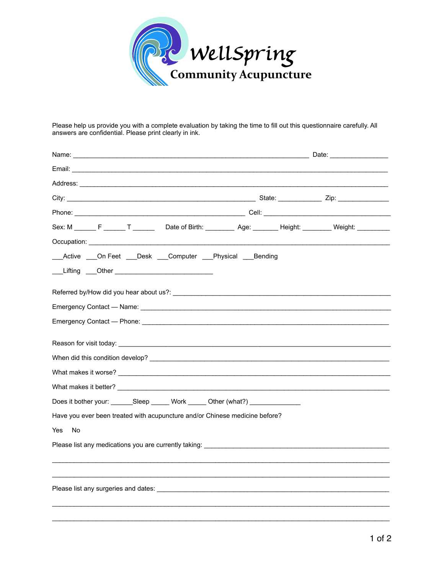

Please help us provide you with a complete evaluation by taking the time to fill out this questionnaire carefully. All answers are confidential. Please print clearly in ink.

| Sex: M ______ F ______ T _______  Date of Birth: ________ Age: _______ Height: ________ Weight: _________                                                                                                                      |  |  |
|--------------------------------------------------------------------------------------------------------------------------------------------------------------------------------------------------------------------------------|--|--|
|                                                                                                                                                                                                                                |  |  |
| ___Active ___On Feet ___Desk ___Computer ___Physical Bending                                                                                                                                                                   |  |  |
| ___Lifting ____Other _____________________________                                                                                                                                                                             |  |  |
|                                                                                                                                                                                                                                |  |  |
|                                                                                                                                                                                                                                |  |  |
| Emergency Contact - Name: Name: Name: Name of Section 100 and 2010 100 and 2010 100 and 2010 100 and 2010 100                                                                                                                  |  |  |
|                                                                                                                                                                                                                                |  |  |
|                                                                                                                                                                                                                                |  |  |
|                                                                                                                                                                                                                                |  |  |
|                                                                                                                                                                                                                                |  |  |
|                                                                                                                                                                                                                                |  |  |
| Does it bother your: ________Sleep _______Work _______ Other (what?) ___________                                                                                                                                               |  |  |
| Have you ever been treated with acupuncture and/or Chinese medicine before?                                                                                                                                                    |  |  |
| Yes<br>No                                                                                                                                                                                                                      |  |  |
| Please list any medications you are currently taking:                                                                                                                                                                          |  |  |
|                                                                                                                                                                                                                                |  |  |
|                                                                                                                                                                                                                                |  |  |
| Please list any surgeries and dates: Lease and the state of the state of the state of the state of the state of the state of the state of the state of the state of the state of the state of the state of the state of the st |  |  |
|                                                                                                                                                                                                                                |  |  |
|                                                                                                                                                                                                                                |  |  |